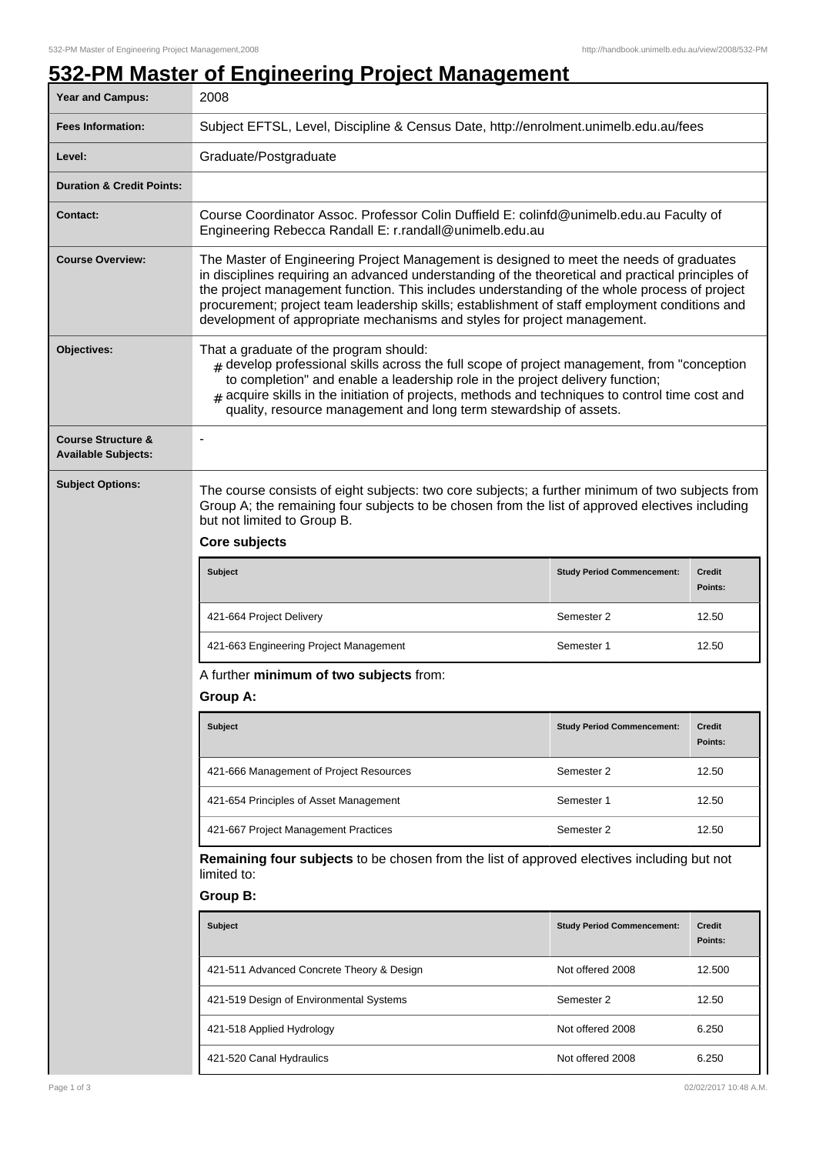## **532-PM Master of Engineering Project Management**

| Year and Campus:                                            | 2008                                                                                                                                                                                                                                                                                                                                                                                                                                                                      |                                   |                          |  |  |  |
|-------------------------------------------------------------|---------------------------------------------------------------------------------------------------------------------------------------------------------------------------------------------------------------------------------------------------------------------------------------------------------------------------------------------------------------------------------------------------------------------------------------------------------------------------|-----------------------------------|--------------------------|--|--|--|
| <b>Fees Information:</b>                                    | Subject EFTSL, Level, Discipline & Census Date, http://enrolment.unimelb.edu.au/fees                                                                                                                                                                                                                                                                                                                                                                                      |                                   |                          |  |  |  |
| Level:                                                      | Graduate/Postgraduate                                                                                                                                                                                                                                                                                                                                                                                                                                                     |                                   |                          |  |  |  |
| <b>Duration &amp; Credit Points:</b>                        |                                                                                                                                                                                                                                                                                                                                                                                                                                                                           |                                   |                          |  |  |  |
| <b>Contact:</b>                                             | Course Coordinator Assoc. Professor Colin Duffield E: colinfd@unimelb.edu.au Faculty of<br>Engineering Rebecca Randall E: r.randall@unimelb.edu.au                                                                                                                                                                                                                                                                                                                        |                                   |                          |  |  |  |
| <b>Course Overview:</b>                                     | The Master of Engineering Project Management is designed to meet the needs of graduates<br>in disciplines requiring an advanced understanding of the theoretical and practical principles of<br>the project management function. This includes understanding of the whole process of project<br>procurement; project team leadership skills; establishment of staff employment conditions and<br>development of appropriate mechanisms and styles for project management. |                                   |                          |  |  |  |
| Objectives:                                                 | That a graduate of the program should:<br>$#$ develop professional skills across the full scope of project management, from "conception"<br>to completion" and enable a leadership role in the project delivery function;<br>$_{\#}$ acquire skills in the initiation of projects, methods and techniques to control time cost and<br>quality, resource management and long term stewardship of assets.                                                                   |                                   |                          |  |  |  |
| <b>Course Structure &amp;</b><br><b>Available Subjects:</b> |                                                                                                                                                                                                                                                                                                                                                                                                                                                                           |                                   |                          |  |  |  |
| <b>Subject Options:</b>                                     | The course consists of eight subjects: two core subjects; a further minimum of two subjects from<br>Group A; the remaining four subjects to be chosen from the list of approved electives including<br>but not limited to Group B.<br>Core subjects                                                                                                                                                                                                                       |                                   |                          |  |  |  |
|                                                             |                                                                                                                                                                                                                                                                                                                                                                                                                                                                           |                                   |                          |  |  |  |
|                                                             | Subject                                                                                                                                                                                                                                                                                                                                                                                                                                                                   | <b>Study Period Commencement:</b> | <b>Credit</b><br>Points: |  |  |  |
|                                                             | 421-664 Project Delivery                                                                                                                                                                                                                                                                                                                                                                                                                                                  | Semester 2                        | 12.50                    |  |  |  |
|                                                             | 421-663 Engineering Project Management                                                                                                                                                                                                                                                                                                                                                                                                                                    | Semester 1                        | 12.50                    |  |  |  |
|                                                             | A further minimum of two subjects from:<br>Group A:                                                                                                                                                                                                                                                                                                                                                                                                                       |                                   |                          |  |  |  |
|                                                             |                                                                                                                                                                                                                                                                                                                                                                                                                                                                           |                                   |                          |  |  |  |
|                                                             | Subject                                                                                                                                                                                                                                                                                                                                                                                                                                                                   | <b>Study Period Commencement:</b> | <b>Credit</b><br>Points: |  |  |  |
|                                                             | 421-666 Management of Project Resources                                                                                                                                                                                                                                                                                                                                                                                                                                   | Semester 2                        | 12.50                    |  |  |  |
|                                                             | 421-654 Principles of Asset Management                                                                                                                                                                                                                                                                                                                                                                                                                                    | Semester 1                        | 12.50                    |  |  |  |
|                                                             | 421-667 Project Management Practices                                                                                                                                                                                                                                                                                                                                                                                                                                      | Semester 2                        | 12.50                    |  |  |  |
|                                                             | Remaining four subjects to be chosen from the list of approved electives including but not<br>limited to:                                                                                                                                                                                                                                                                                                                                                                 |                                   |                          |  |  |  |
|                                                             | <b>Group B:</b>                                                                                                                                                                                                                                                                                                                                                                                                                                                           |                                   |                          |  |  |  |
|                                                             | <b>Subject</b>                                                                                                                                                                                                                                                                                                                                                                                                                                                            | <b>Study Period Commencement:</b> | Credit<br>Points:        |  |  |  |
|                                                             | 421-511 Advanced Concrete Theory & Design                                                                                                                                                                                                                                                                                                                                                                                                                                 | Not offered 2008                  | 12.500                   |  |  |  |
|                                                             | 421-519 Design of Environmental Systems                                                                                                                                                                                                                                                                                                                                                                                                                                   | Semester 2                        | 12.50                    |  |  |  |
|                                                             | 421-518 Applied Hydrology                                                                                                                                                                                                                                                                                                                                                                                                                                                 | Not offered 2008                  | 6.250                    |  |  |  |
|                                                             | 421-520 Canal Hydraulics                                                                                                                                                                                                                                                                                                                                                                                                                                                  | Not offered 2008                  | 6.250                    |  |  |  |
| Page 1 of 3                                                 |                                                                                                                                                                                                                                                                                                                                                                                                                                                                           |                                   | 02/02/2017 10:48 A.M.    |  |  |  |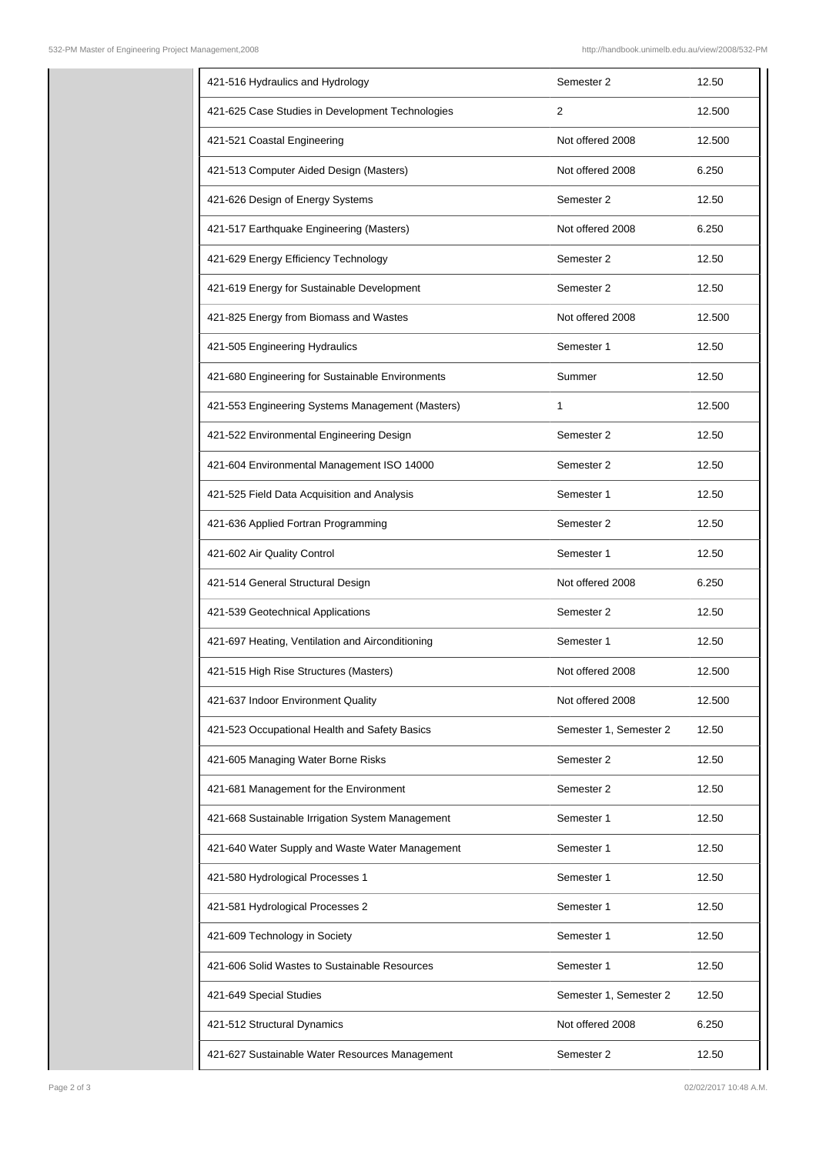| 421-516 Hydraulics and Hydrology                 | Semester 2             | 12.50  |
|--------------------------------------------------|------------------------|--------|
| 421-625 Case Studies in Development Technologies | 2                      | 12.500 |
| 421-521 Coastal Engineering                      | Not offered 2008       | 12.500 |
| 421-513 Computer Aided Design (Masters)          | Not offered 2008       | 6.250  |
| 421-626 Design of Energy Systems                 | Semester 2             | 12.50  |
| 421-517 Earthquake Engineering (Masters)         | Not offered 2008       | 6.250  |
| 421-629 Energy Efficiency Technology             | Semester 2             | 12.50  |
| 421-619 Energy for Sustainable Development       | Semester 2             | 12.50  |
| 421-825 Energy from Biomass and Wastes           | Not offered 2008       | 12.500 |
| 421-505 Engineering Hydraulics                   | Semester 1             | 12.50  |
| 421-680 Engineering for Sustainable Environments | Summer                 | 12.50  |
| 421-553 Engineering Systems Management (Masters) | 1                      | 12.500 |
| 421-522 Environmental Engineering Design         | Semester 2             | 12.50  |
| 421-604 Environmental Management ISO 14000       | Semester 2             | 12.50  |
| 421-525 Field Data Acquisition and Analysis      | Semester 1             | 12.50  |
| 421-636 Applied Fortran Programming              | Semester 2             | 12.50  |
| 421-602 Air Quality Control                      | Semester 1             | 12.50  |
| 421-514 General Structural Design                | Not offered 2008       | 6.250  |
| 421-539 Geotechnical Applications                | Semester 2             | 12.50  |
| 421-697 Heating, Ventilation and Airconditioning | Semester 1             | 12.50  |
| 421-515 High Rise Structures (Masters)           | Not offered 2008       | 12.500 |
| 421-637 Indoor Environment Quality               | Not offered 2008       | 12.500 |
| 421-523 Occupational Health and Safety Basics    | Semester 1, Semester 2 | 12.50  |
| 421-605 Managing Water Borne Risks               | Semester 2             | 12.50  |
| 421-681 Management for the Environment           | Semester 2             | 12.50  |
| 421-668 Sustainable Irrigation System Management | Semester 1             | 12.50  |
| 421-640 Water Supply and Waste Water Management  | Semester 1             | 12.50  |
| 421-580 Hydrological Processes 1                 | Semester 1             | 12.50  |
| 421-581 Hydrological Processes 2                 | Semester 1             | 12.50  |
| 421-609 Technology in Society                    | Semester 1             | 12.50  |
| 421-606 Solid Wastes to Sustainable Resources    | Semester 1             | 12.50  |
| 421-649 Special Studies                          | Semester 1, Semester 2 | 12.50  |
| 421-512 Structural Dynamics                      | Not offered 2008       | 6.250  |
| 421-627 Sustainable Water Resources Management   | Semester 2             | 12.50  |